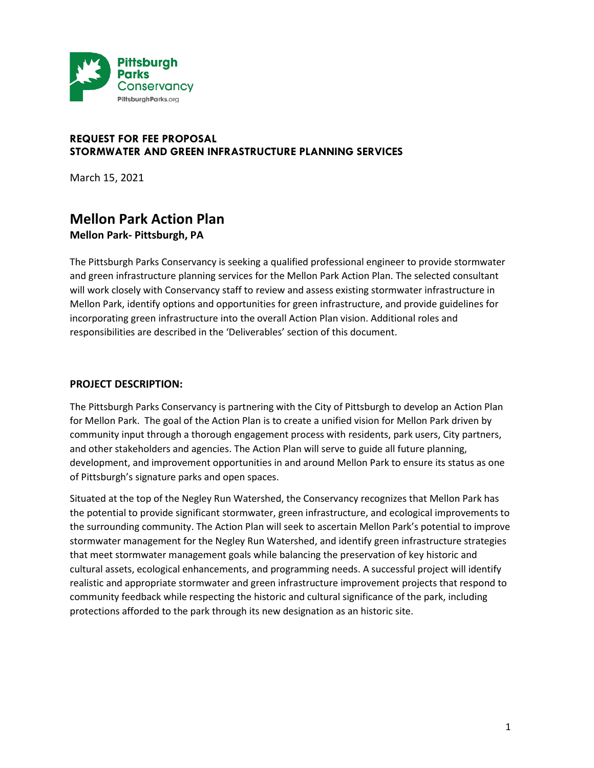

# **REQUEST FOR FEE PROPOSAL STORMWATER AND GREEN INFRASTRUCTURE PLANNING SERVICES**

March 15, 2021

# **Mellon Park Action Plan Mellon Park- Pittsburgh, PA**

The Pittsburgh Parks Conservancy is seeking a qualified professional engineer to provide stormwater and green infrastructure planning services for the Mellon Park Action Plan. The selected consultant will work closely with Conservancy staff to review and assess existing stormwater infrastructure in Mellon Park, identify options and opportunities for green infrastructure, and provide guidelines for incorporating green infrastructure into the overall Action Plan vision. Additional roles and responsibilities are described in the 'Deliverables' section of this document.

# **PROJECT DESCRIPTION:**

The Pittsburgh Parks Conservancy is partnering with the City of Pittsburgh to develop an Action Plan for Mellon Park. The goal of the Action Plan is to create a unified vision for Mellon Park driven by community input through a thorough engagement process with residents, park users, City partners, and other stakeholders and agencies. The Action Plan will serve to guide all future planning, development, and improvement opportunities in and around Mellon Park to ensure its status as one of Pittsburgh's signature parks and open spaces.

Situated at the top of the Negley Run Watershed, the Conservancy recognizes that Mellon Park has the potential to provide significant stormwater, green infrastructure, and ecological improvements to the surrounding community. The Action Plan will seek to ascertain Mellon Park's potential to improve stormwater management for the Negley Run Watershed, and identify green infrastructure strategies that meet stormwater management goals while balancing the preservation of key historic and cultural assets, ecological enhancements, and programming needs. A successful project will identify realistic and appropriate stormwater and green infrastructure improvement projects that respond to community feedback while respecting the historic and cultural significance of the park, including protections afforded to the park through its new designation as an historic site.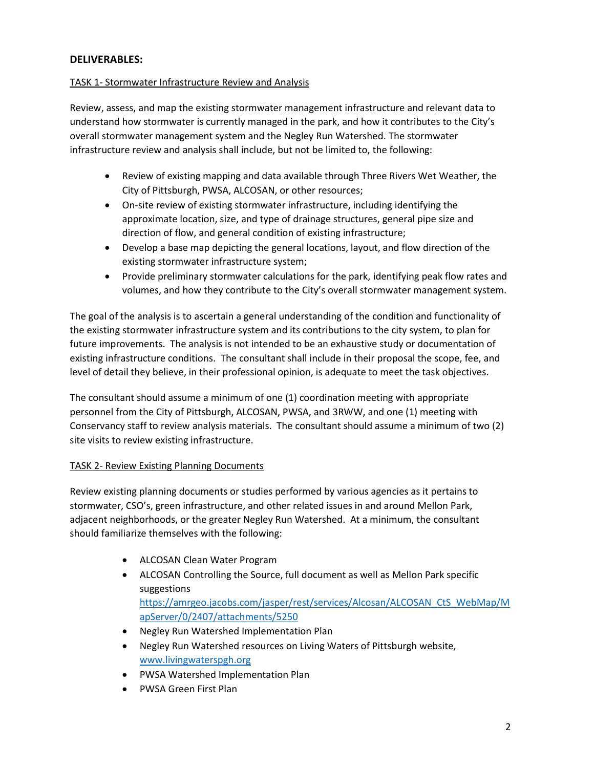# **DELIVERABLES:**

#### TASK 1- Stormwater Infrastructure Review and Analysis

Review, assess, and map the existing stormwater management infrastructure and relevant data to understand how stormwater is currently managed in the park, and how it contributes to the City's overall stormwater management system and the Negley Run Watershed. The stormwater infrastructure review and analysis shall include, but not be limited to, the following:

- Review of existing mapping and data available through Three Rivers Wet Weather, the City of Pittsburgh, PWSA, ALCOSAN, or other resources;
- On-site review of existing stormwater infrastructure, including identifying the approximate location, size, and type of drainage structures, general pipe size and direction of flow, and general condition of existing infrastructure;
- Develop a base map depicting the general locations, layout, and flow direction of the existing stormwater infrastructure system;
- Provide preliminary stormwater calculations for the park, identifying peak flow rates and volumes, and how they contribute to the City's overall stormwater management system.

The goal of the analysis is to ascertain a general understanding of the condition and functionality of the existing stormwater infrastructure system and its contributions to the city system, to plan for future improvements. The analysis is not intended to be an exhaustive study or documentation of existing infrastructure conditions. The consultant shall include in their proposal the scope, fee, and level of detail they believe, in their professional opinion, is adequate to meet the task objectives.

The consultant should assume a minimum of one (1) coordination meeting with appropriate personnel from the City of Pittsburgh, ALCOSAN, PWSA, and 3RWW, and one (1) meeting with Conservancy staff to review analysis materials. The consultant should assume a minimum of two (2) site visits to review existing infrastructure.

# TASK 2- Review Existing Planning Documents

Review existing planning documents or studies performed by various agencies as it pertains to stormwater, CSO's, green infrastructure, and other related issues in and around Mellon Park, adjacent neighborhoods, or the greater Negley Run Watershed. At a minimum, the consultant should familiarize themselves with the following:

- ALCOSAN Clean Water Program
- ALCOSAN Controlling the Source, full document as well as Mellon Park specific suggestions [https://amrgeo.jacobs.com/jasper/rest/services/Alcosan/ALCOSAN\\_CtS\\_WebMap/M](https://amrgeo.jacobs.com/jasper/rest/services/Alcosan/ALCOSAN_CtS_WebMap/MapServer/0/2407/attachments/5250) [apServer/0/2407/attachments/5250](https://amrgeo.jacobs.com/jasper/rest/services/Alcosan/ALCOSAN_CtS_WebMap/MapServer/0/2407/attachments/5250)
- Negley Run Watershed Implementation Plan
- Negley Run Watershed resources on Living Waters of Pittsburgh website, [www.livingwaterspgh.org](http://www.livingwaterspgh.org/)
- PWSA Watershed Implementation Plan
- PWSA Green First Plan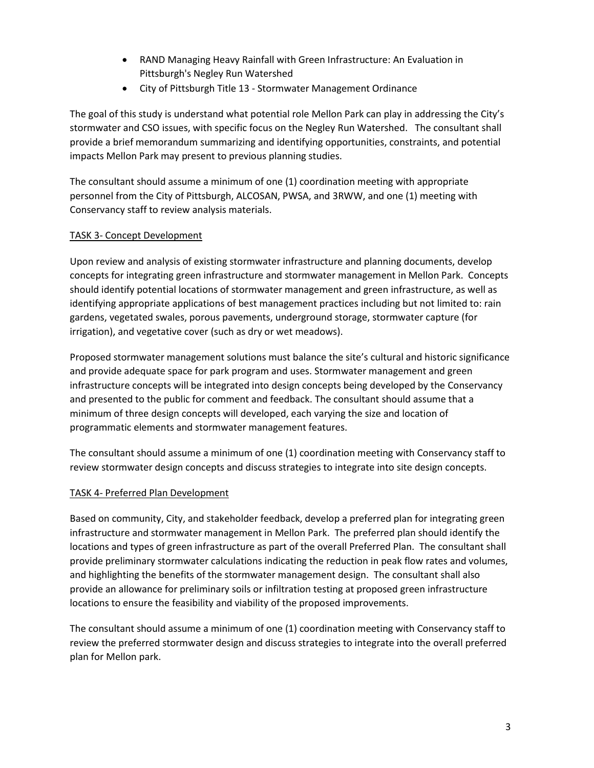- RAND Managing Heavy Rainfall with Green Infrastructure: An Evaluation in Pittsburgh's Negley Run Watershed
- City of Pittsburgh Title 13 Stormwater Management Ordinance

The goal of this study is understand what potential role Mellon Park can play in addressing the City's stormwater and CSO issues, with specific focus on the Negley Run Watershed. The consultant shall provide a brief memorandum summarizing and identifying opportunities, constraints, and potential impacts Mellon Park may present to previous planning studies.

The consultant should assume a minimum of one (1) coordination meeting with appropriate personnel from the City of Pittsburgh, ALCOSAN, PWSA, and 3RWW, and one (1) meeting with Conservancy staff to review analysis materials.

# TASK 3- Concept Development

Upon review and analysis of existing stormwater infrastructure and planning documents, develop concepts for integrating green infrastructure and stormwater management in Mellon Park. Concepts should identify potential locations of stormwater management and green infrastructure, as well as identifying appropriate applications of best management practices including but not limited to: rain gardens, vegetated swales, porous pavements, underground storage, stormwater capture (for irrigation), and vegetative cover (such as dry or wet meadows).

Proposed stormwater management solutions must balance the site's cultural and historic significance and provide adequate space for park program and uses. Stormwater management and green infrastructure concepts will be integrated into design concepts being developed by the Conservancy and presented to the public for comment and feedback. The consultant should assume that a minimum of three design concepts will developed, each varying the size and location of programmatic elements and stormwater management features.

The consultant should assume a minimum of one (1) coordination meeting with Conservancy staff to review stormwater design concepts and discuss strategies to integrate into site design concepts.

# TASK 4- Preferred Plan Development

Based on community, City, and stakeholder feedback, develop a preferred plan for integrating green infrastructure and stormwater management in Mellon Park. The preferred plan should identify the locations and types of green infrastructure as part of the overall Preferred Plan. The consultant shall provide preliminary stormwater calculations indicating the reduction in peak flow rates and volumes, and highlighting the benefits of the stormwater management design. The consultant shall also provide an allowance for preliminary soils or infiltration testing at proposed green infrastructure locations to ensure the feasibility and viability of the proposed improvements.

The consultant should assume a minimum of one (1) coordination meeting with Conservancy staff to review the preferred stormwater design and discuss strategies to integrate into the overall preferred plan for Mellon park.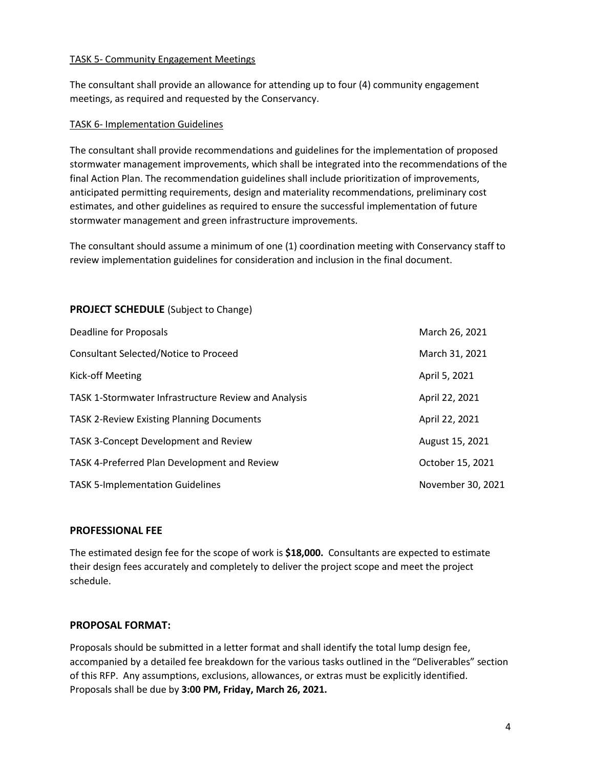#### TASK 5- Community Engagement Meetings

The consultant shall provide an allowance for attending up to four (4) community engagement meetings, as required and requested by the Conservancy.

#### TASK 6- Implementation Guidelines

The consultant shall provide recommendations and guidelines for the implementation of proposed stormwater management improvements, which shall be integrated into the recommendations of the final Action Plan. The recommendation guidelines shall include prioritization of improvements, anticipated permitting requirements, design and materiality recommendations, preliminary cost estimates, and other guidelines as required to ensure the successful implementation of future stormwater management and green infrastructure improvements.

The consultant should assume a minimum of one (1) coordination meeting with Conservancy staff to review implementation guidelines for consideration and inclusion in the final document.

# **PROJECT SCHEDULE** (Subject to Change)

| Deadline for Proposals                               | March 26, 2021    |
|------------------------------------------------------|-------------------|
| <b>Consultant Selected/Notice to Proceed</b>         | March 31, 2021    |
| Kick-off Meeting                                     | April 5, 2021     |
| TASK 1-Stormwater Infrastructure Review and Analysis | April 22, 2021    |
| <b>TASK 2-Review Existing Planning Documents</b>     | April 22, 2021    |
| TASK 3-Concept Development and Review                | August 15, 2021   |
| TASK 4-Preferred Plan Development and Review         | October 15, 2021  |
| <b>TASK 5-Implementation Guidelines</b>              | November 30, 2021 |

#### **PROFESSIONAL FEE**

The estimated design fee for the scope of work is **\$18,000.** Consultants are expected to estimate their design fees accurately and completely to deliver the project scope and meet the project schedule.

#### **PROPOSAL FORMAT:**

Proposals should be submitted in a letter format and shall identify the total lump design fee, accompanied by a detailed fee breakdown for the various tasks outlined in the "Deliverables" section of this RFP. Any assumptions, exclusions, allowances, or extras must be explicitly identified. Proposals shall be due by **3:00 PM, Friday, March 26, 2021.**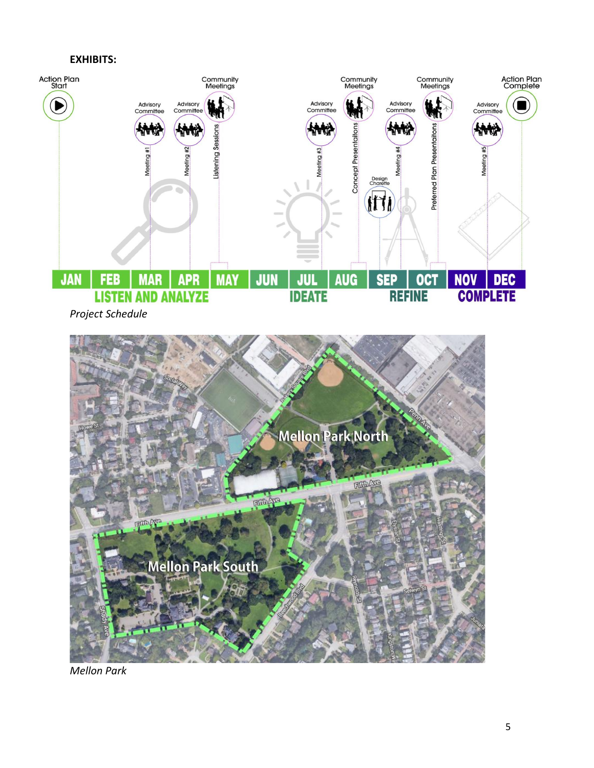#### **EXHIBITS:**





*Mellon Park*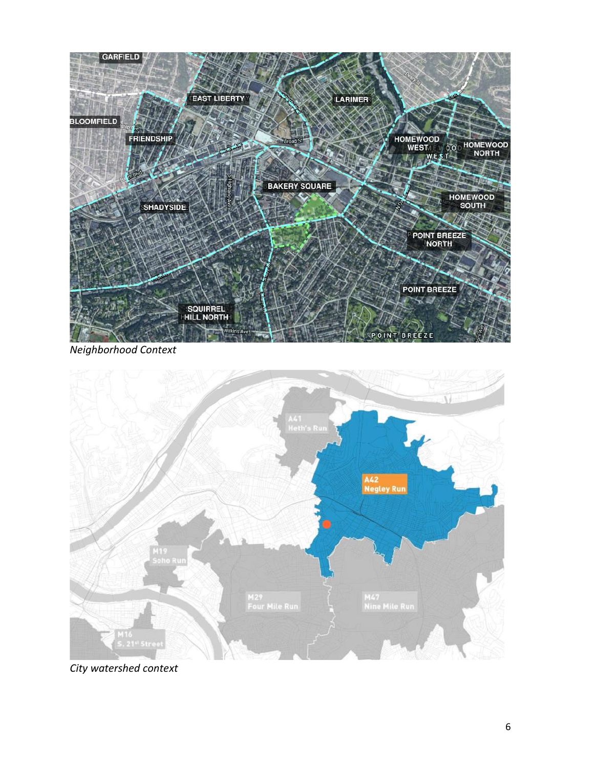

*Neighborhood Context*



*City watershed context*